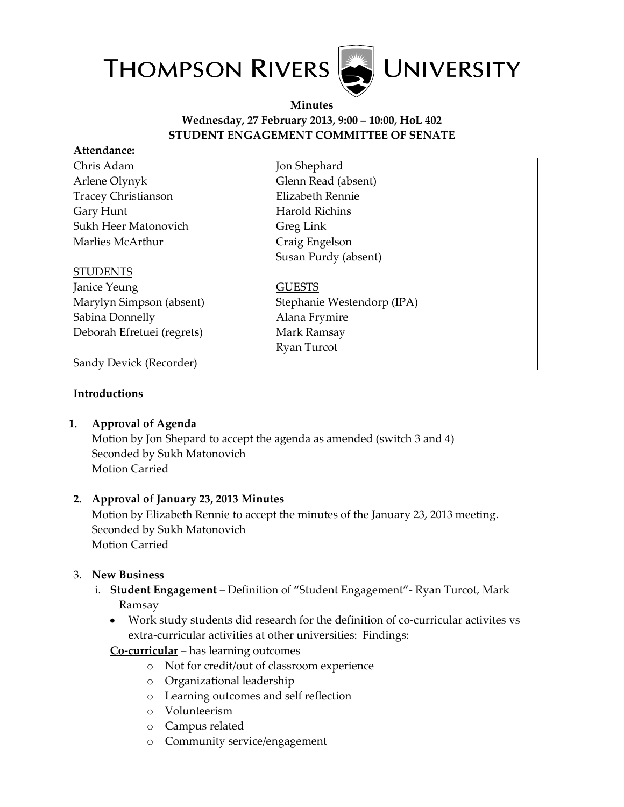

#### **Minutes Wednesday, 27 February 2013, 9:00 – 10:00, HoL 402 STUDENT ENGAGEMENT COMMITTEE OF SENATE**

| Attendance:                |                            |
|----------------------------|----------------------------|
| Chris Adam                 | Jon Shephard               |
| Arlene Olynyk              | Glenn Read (absent)        |
| <b>Tracey Christianson</b> | Elizabeth Rennie           |
| Gary Hunt                  | Harold Richins             |
| Sukh Heer Matonovich       | Greg Link                  |
| Marlies McArthur           | Craig Engelson             |
|                            | Susan Purdy (absent)       |
| <b>STUDENTS</b>            |                            |
| Janice Yeung               | <b>GUESTS</b>              |
| Marylyn Simpson (absent)   | Stephanie Westendorp (IPA) |
| Sabina Donnelly            | Alana Frymire              |
| Deborah Efretuei (regrets) | Mark Ramsay                |
|                            | Ryan Turcot                |
| Sandy Devick (Recorder)    |                            |

#### **Introductions**

## **1. Approval of Agenda**

Motion by Jon Shepard to accept the agenda as amended (switch 3 and 4) Seconded by Sukh Matonovich Motion Carried

#### **2. Approval of January 23, 2013 Minutes**

Motion by Elizabeth Rennie to accept the minutes of the January 23, 2013 meeting. Seconded by Sukh Matonovich Motion Carried

## 3. **New Business**

- i. **Student Engagement** Definition of "Student Engagement"- Ryan Turcot, Mark Ramsay
	- Work study students did research for the definition of co-curricular activites vs extra-curricular activities at other universities: Findings:

## **Co-curricular** – has learning outcomes

- o Not for credit/out of classroom experience
- o Organizational leadership
- o Learning outcomes and self reflection
- o Volunteerism
- o Campus related
- o Community service/engagement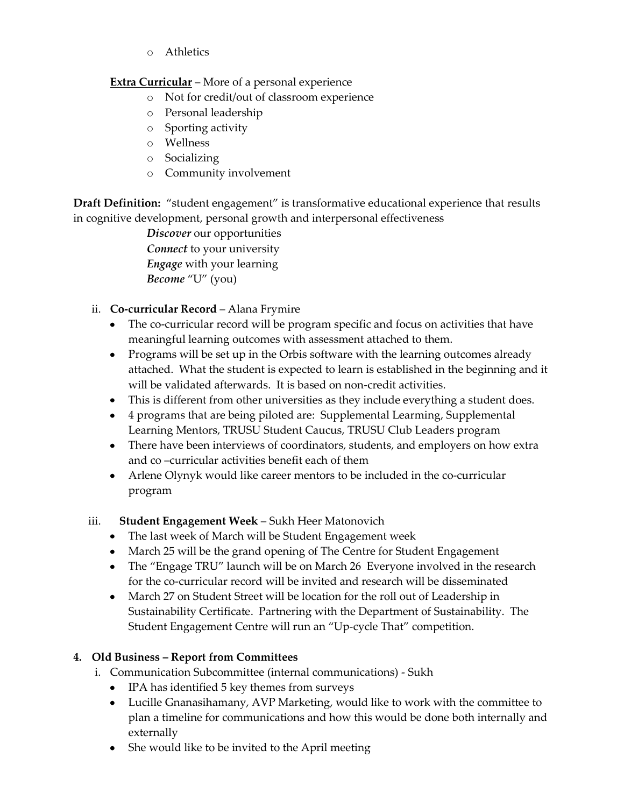o Athletics

## **Extra Curricular** – More of a personal experience

- o Not for credit/out of classroom experience
- o Personal leadership
- o Sporting activity
- o Wellness
- o Socializing
- o Community involvement

**Draft Definition:** "student engagement" is transformative educational experience that results in cognitive development, personal growth and interpersonal effectiveness

> *Discover* our opportunities *Connect* to your university *Engage* with your learning *Become* "U" (you)

- ii. **Co-curricular Record** Alana Frymire
	- The co-curricular record will be program specific and focus on activities that have meaningful learning outcomes with assessment attached to them.
	- Programs will be set up in the Orbis software with the learning outcomes already attached. What the student is expected to learn is established in the beginning and it will be validated afterwards. It is based on non-credit activities.
	- This is different from other universities as they include everything a student does.
	- 4 programs that are being piloted are: Supplemental Learming, Supplemental Learning Mentors, TRUSU Student Caucus, TRUSU Club Leaders program
	- There have been interviews of coordinators, students, and employers on how extra and co –curricular activities benefit each of them
	- Arlene Olynyk would like career mentors to be included in the co-curricular program
- iii. **Student Engagement Week** Sukh Heer Matonovich
	- The last week of March will be Student Engagement week
	- March 25 will be the grand opening of The Centre for Student Engagement
	- The "Engage TRU" launch will be on March 26 Everyone involved in the research for the co-curricular record will be invited and research will be disseminated
	- March 27 on Student Street will be location for the roll out of Leadership in Sustainability Certificate. Partnering with the Department of Sustainability. The Student Engagement Centre will run an "Up-cycle That" competition.

# **4. Old Business – Report from Committees**

- i. Communication Subcommittee (internal communications) Sukh
	- IPA has identified 5 key themes from surveys
	- Lucille Gnanasihamany, AVP Marketing, would like to work with the committee to plan a timeline for communications and how this would be done both internally and externally
	- She would like to be invited to the April meeting